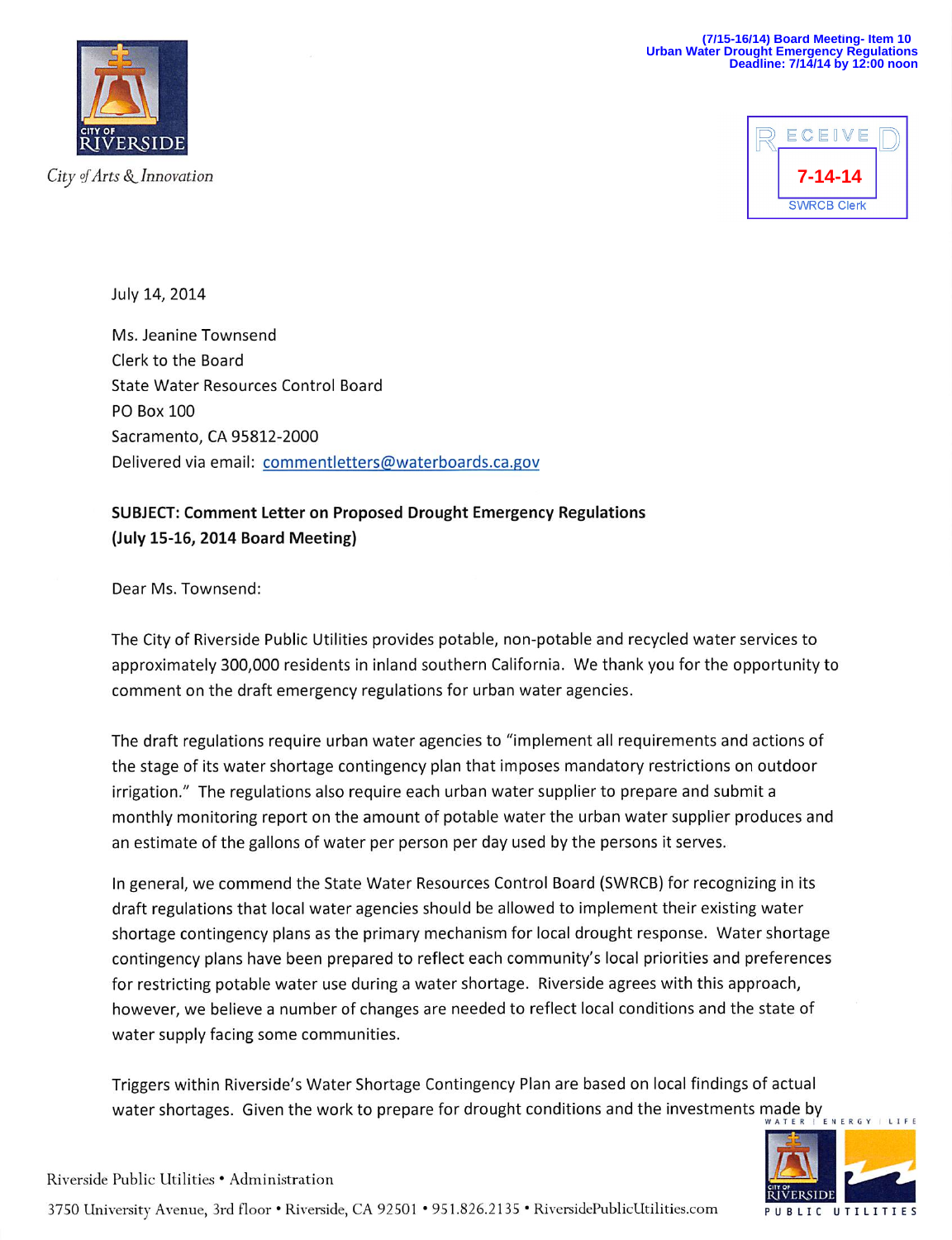

City of Arts & Innovation



July 14, 2014

Ms. Jeanine Townsend Clerk to the Board State Water Resources Control Board PO Box 100 Sacramento, CA 95812-2000 Delivered via email: commentletters@waterboards.ca.gov

SUBJECT: Comment Letter on Proposed Drought Emergency Regulations (July 15-16,2014 Board Meeting)

Dear Ms. Townsend:

The City of Riverside Public Utilities provides potable, non-potable and recycled water services to approximately 300,000 residents in inland southern California. We thank you for the opportunity to comment on the draft emergency regulations for urban water agencies.

The draft regulations require urban water agencies to "implement all requirements and actions of the stage of its water shortage contingency plan that imposes mandatory restrictions on outdoor irrigation." The regulations also require each urban water supplier to prepare and submit a monthly monitoring report on the amount of potable water the urban water supplier produces and an estimate of the gallons of water per person per day used by the persons it serves.

In general, we commend the State Water Resources Control Board (SWRCB) for recognizing in its draft regulations that local water agencies should be allowed to implement their existing water shortage contingency plans as the primary mechanism for local drought response. Water shortage contingency plans have been prepared to reflect each community's local priorities and preferences for restricting potable water use during a water shortage. Riverside agrees with this approach, however, we believe a number of changes are needed to reflect local conditions and the state of water supply facing some communities.

Triggers within Riverside's Water Shortage Contingency Plan are based on local findings of actual water shortages. Given the work to prepare for drought conditions and the investments made by E N E



3750 University Avenue, 3rd floor • Riverside, CA 92501 • 951.826.2135 • RiversidePublicUtilities.com public utilitie